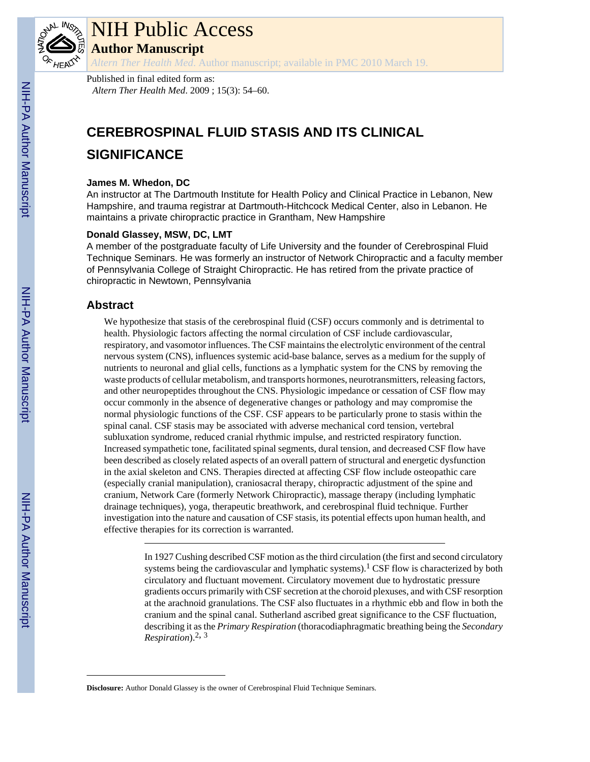

# NIH Public Access

**Author Manuscript**

*Altern Ther Health Med*. Author manuscript; available in PMC 2010 March 19.

Published in final edited form as: *Altern Ther Health Med*. 2009 ; 15(3): 54–60.

## **CEREBROSPINAL FLUID STASIS AND ITS CLINICAL SIGNIFICANCE**

## **James M. Whedon, DC**

An instructor at The Dartmouth Institute for Health Policy and Clinical Practice in Lebanon, New Hampshire, and trauma registrar at Dartmouth-Hitchcock Medical Center, also in Lebanon. He maintains a private chiropractic practice in Grantham, New Hampshire

## **Donald Glassey, MSW, DC, LMT**

A member of the postgraduate faculty of Life University and the founder of Cerebrospinal Fluid Technique Seminars. He was formerly an instructor of Network Chiropractic and a faculty member of Pennsylvania College of Straight Chiropractic. He has retired from the private practice of chiropractic in Newtown, Pennsylvania

## **Abstract**

We hypothesize that stasis of the cerebrospinal fluid (CSF) occurs commonly and is detrimental to health. Physiologic factors affecting the normal circulation of CSF include cardiovascular, respiratory, and vasomotor influences. The CSF maintains the electrolytic environment of the central nervous system (CNS), influences systemic acid-base balance, serves as a medium for the supply of nutrients to neuronal and glial cells, functions as a lymphatic system for the CNS by removing the waste products of cellular metabolism, and transports hormones, neurotransmitters, releasing factors, and other neuropeptides throughout the CNS. Physiologic impedance or cessation of CSF flow may occur commonly in the absence of degenerative changes or pathology and may compromise the normal physiologic functions of the CSF. CSF appears to be particularly prone to stasis within the spinal canal. CSF stasis may be associated with adverse mechanical cord tension, vertebral subluxation syndrome, reduced cranial rhythmic impulse, and restricted respiratory function. Increased sympathetic tone, facilitated spinal segments, dural tension, and decreased CSF flow have been described as closely related aspects of an overall pattern of structural and energetic dysfunction in the axial skeleton and CNS. Therapies directed at affecting CSF flow include osteopathic care (especially cranial manipulation), craniosacral therapy, chiropractic adjustment of the spine and cranium, Network Care (formerly Network Chiropractic), massage therapy (including lymphatic drainage techniques), yoga, therapeutic breathwork, and cerebrospinal fluid technique. Further investigation into the nature and causation of CSF stasis, its potential effects upon human health, and effective therapies for its correction is warranted.

> In 1927 Cushing described CSF motion as the third circulation (the first and second circulatory systems being the cardiovascular and lymphatic systems).<sup>1</sup> CSF flow is characterized by both circulatory and fluctuant movement. Circulatory movement due to hydrostatic pressure gradients occurs primarily with CSF secretion at the choroid plexuses, and with CSF resorption at the arachnoid granulations. The CSF also fluctuates in a rhythmic ebb and flow in both the cranium and the spinal canal. Sutherland ascribed great significance to the CSF fluctuation, describing it as the *Primary Respiration* (thoracodiaphragmatic breathing being the *Secondary Respiration*).2, <sup>3</sup>

**Disclosure:** Author Donald Glassey is the owner of Cerebrospinal Fluid Technique Seminars.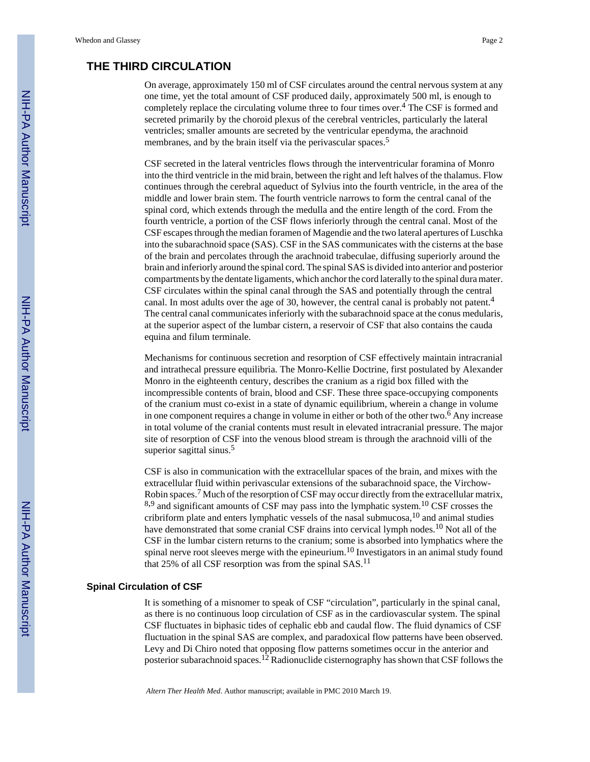## **THE THIRD CIRCULATION**

On average, approximately 150 ml of CSF circulates around the central nervous system at any one time, yet the total amount of CSF produced daily, approximately 500 ml, is enough to completely replace the circulating volume three to four times over.<sup>4</sup> The CSF is formed and secreted primarily by the choroid plexus of the cerebral ventricles, particularly the lateral ventricles; smaller amounts are secreted by the ventricular ependyma, the arachnoid membranes, and by the brain itself via the perivascular spaces.<sup>5</sup>

CSF secreted in the lateral ventricles flows through the interventricular foramina of Monro into the third ventricle in the mid brain, between the right and left halves of the thalamus. Flow continues through the cerebral aqueduct of Sylvius into the fourth ventricle, in the area of the middle and lower brain stem. The fourth ventricle narrows to form the central canal of the spinal cord, which extends through the medulla and the entire length of the cord. From the fourth ventricle, a portion of the CSF flows inferiorly through the central canal. Most of the CSF escapes through the median foramen of Magendie and the two lateral apertures of Luschka into the subarachnoid space (SAS). CSF in the SAS communicates with the cisterns at the base of the brain and percolates through the arachnoid trabeculae, diffusing superiorly around the brain and inferiorly around the spinal cord. The spinal SAS is divided into anterior and posterior compartments by the dentate ligaments, which anchor the cord laterally to the spinal dura mater. CSF circulates within the spinal canal through the SAS and potentially through the central canal. In most adults over the age of 30, however, the central canal is probably not patent.<sup>4</sup> The central canal communicates inferiorly with the subarachnoid space at the conus medularis, at the superior aspect of the lumbar cistern, a reservoir of CSF that also contains the cauda equina and filum terminale.

Mechanisms for continuous secretion and resorption of CSF effectively maintain intracranial and intrathecal pressure equilibria. The Monro-Kellie Doctrine, first postulated by Alexander Monro in the eighteenth century, describes the cranium as a rigid box filled with the incompressible contents of brain, blood and CSF. These three space-occupying components of the cranium must co-exist in a state of dynamic equilibrium, wherein a change in volume in one component requires a change in volume in either or both of the other two.<sup>6</sup> Any increase in total volume of the cranial contents must result in elevated intracranial pressure. The major site of resorption of CSF into the venous blood stream is through the arachnoid villi of the superior sagittal sinus.<sup>5</sup>

CSF is also in communication with the extracellular spaces of the brain, and mixes with the extracellular fluid within perivascular extensions of the subarachnoid space, the Virchow-Robin spaces.<sup>7</sup> Much of the resorption of CSF may occur directly from the extracellular matrix,  $8,9$  and significant amounts of CSF may pass into the lymphatic system.<sup>10</sup> CSF crosses the cribriform plate and enters lymphatic vessels of the nasal submucosa,10 and animal studies have demonstrated that some cranial CSF drains into cervical lymph nodes.<sup>10</sup> Not all of the CSF in the lumbar cistern returns to the cranium; some is absorbed into lymphatics where the spinal nerve root sleeves merge with the epineurium.<sup>10</sup> Investigators in an animal study found that 25% of all CSF resorption was from the spinal  $SAS$ .<sup>11</sup>

#### **Spinal Circulation of CSF**

It is something of a misnomer to speak of CSF "circulation", particularly in the spinal canal, as there is no continuous loop circulation of CSF as in the cardiovascular system. The spinal CSF fluctuates in biphasic tides of cephalic ebb and caudal flow. The fluid dynamics of CSF fluctuation in the spinal SAS are complex, and paradoxical flow patterns have been observed. Levy and Di Chiro noted that opposing flow patterns sometimes occur in the anterior and posterior subarachnoid spaces.<sup>12</sup> Radionuclide cisternography has shown that CSF follows the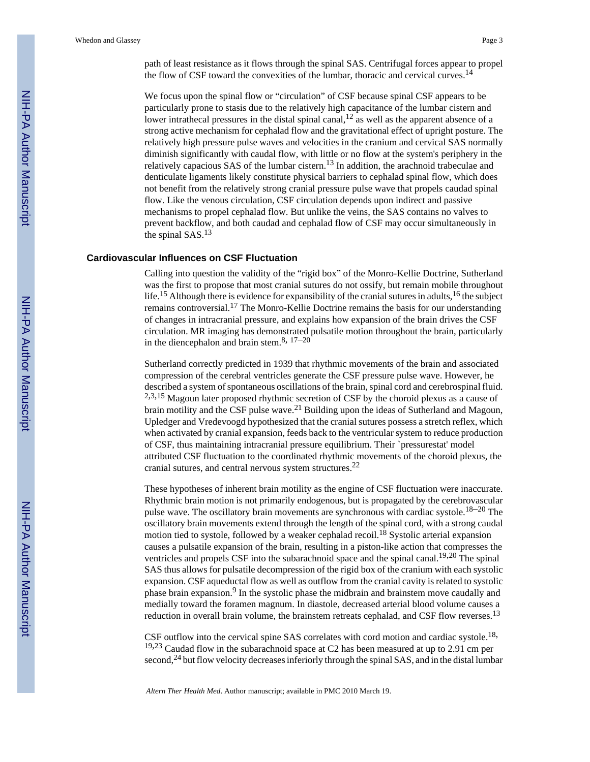path of least resistance as it flows through the spinal SAS. Centrifugal forces appear to propel the flow of CSF toward the convexities of the lumbar, thoracic and cervical curves.<sup>14</sup>

We focus upon the spinal flow or "circulation" of CSF because spinal CSF appears to be particularly prone to stasis due to the relatively high capacitance of the lumbar cistern and lower intrathecal pressures in the distal spinal canal,  $12$  as well as the apparent absence of a strong active mechanism for cephalad flow and the gravitational effect of upright posture. The relatively high pressure pulse waves and velocities in the cranium and cervical SAS normally diminish significantly with caudal flow, with little or no flow at the system's periphery in the relatively capacious SAS of the lumbar cistern.13 In addition, the arachnoid trabeculae and denticulate ligaments likely constitute physical barriers to cephalad spinal flow, which does not benefit from the relatively strong cranial pressure pulse wave that propels caudad spinal flow. Like the venous circulation, CSF circulation depends upon indirect and passive mechanisms to propel cephalad flow. But unlike the veins, the SAS contains no valves to prevent backflow, and both caudad and cephalad flow of CSF may occur simultaneously in the spinal SAS.<sup>13</sup>

#### **Cardiovascular Influences on CSF Fluctuation**

Calling into question the validity of the "rigid box" of the Monro-Kellie Doctrine, Sutherland was the first to propose that most cranial sutures do not ossify, but remain mobile throughout life.<sup>15</sup> Although there is evidence for expansibility of the cranial sutures in adults,<sup>16</sup> the subject remains controversial.17 The Monro-Kellie Doctrine remains the basis for our understanding of changes in intracranial pressure, and explains how expansion of the brain drives the CSF circulation. MR imaging has demonstrated pulsatile motion throughout the brain, particularly in the diencephalon and brain stem.<sup>8, 17–20</sup>

Sutherland correctly predicted in 1939 that rhythmic movements of the brain and associated compression of the cerebral ventricles generate the CSF pressure pulse wave. However, he described a system of spontaneous oscillations of the brain, spinal cord and cerebrospinal fluid. <sup>2</sup>,3,15 Magoun later proposed rhythmic secretion of CSF by the choroid plexus as a cause of brain motility and the CSF pulse wave.<sup>21</sup> Building upon the ideas of Sutherland and Magoun, Upledger and Vredevoogd hypothesized that the cranial sutures possess a stretch reflex, which when activated by cranial expansion, feeds back to the ventricular system to reduce production of CSF, thus maintaining intracranial pressure equilibrium. Their `pressurestat' model attributed CSF fluctuation to the coordinated rhythmic movements of the choroid plexus, the cranial sutures, and central nervous system structures.<sup>22</sup>

These hypotheses of inherent brain motility as the engine of CSF fluctuation were inaccurate. Rhythmic brain motion is not primarily endogenous, but is propagated by the cerebrovascular pulse wave. The oscillatory brain movements are synchronous with cardiac systole.<sup>18–20</sup> The oscillatory brain movements extend through the length of the spinal cord, with a strong caudal motion tied to systole, followed by a weaker cephalad recoil.<sup>18</sup> Systolic arterial expansion causes a pulsatile expansion of the brain, resulting in a piston-like action that compresses the ventricles and propels CSF into the subarachnoid space and the spinal canal.<sup>19,20</sup> The spinal SAS thus allows for pulsatile decompression of the rigid box of the cranium with each systolic expansion. CSF aqueductal flow as well as outflow from the cranial cavity is related to systolic phase brain expansion.<sup>9</sup> In the systolic phase the midbrain and brainstem move caudally and medially toward the foramen magnum. In diastole, decreased arterial blood volume causes a reduction in overall brain volume, the brainstem retreats cephalad, and CSF flow reverses.<sup>13</sup>

CSF outflow into the cervical spine SAS correlates with cord motion and cardiac systole.<sup>18,</sup> <sup>19,23</sup> Caudad flow in the subarachnoid space at C2 has been measured at up to 2.91 cm per second,<sup>24</sup> but flow velocity decreases inferiorly through the spinal SAS, and in the distal lumbar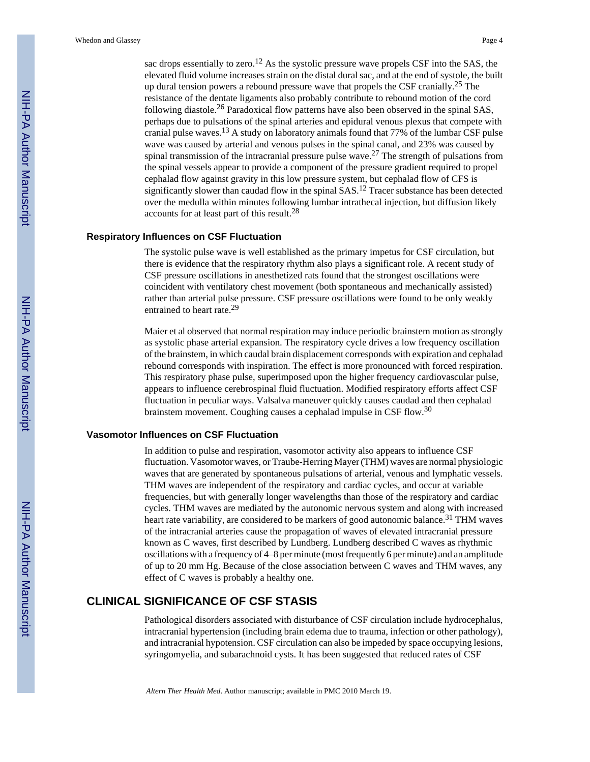sac drops essentially to zero.<sup>12</sup> As the systolic pressure wave propels CSF into the SAS, the elevated fluid volume increases strain on the distal dural sac, and at the end of systole, the built up dural tension powers a rebound pressure wave that propels the CSF cranially.<sup>25</sup> The resistance of the dentate ligaments also probably contribute to rebound motion of the cord following diastole.26 Paradoxical flow patterns have also been observed in the spinal SAS, perhaps due to pulsations of the spinal arteries and epidural venous plexus that compete with cranial pulse waves.13 A study on laboratory animals found that 77% of the lumbar CSF pulse wave was caused by arterial and venous pulses in the spinal canal, and 23% was caused by spinal transmission of the intracranial pressure pulse wave.<sup>27</sup> The strength of pulsations from the spinal vessels appear to provide a component of the pressure gradient required to propel cephalad flow against gravity in this low pressure system, but cephalad flow of CFS is significantly slower than caudad flow in the spinal SAS.<sup>12</sup> Tracer substance has been detected over the medulla within minutes following lumbar intrathecal injection, but diffusion likely accounts for at least part of this result.<sup>28</sup>

#### **Respiratory Influences on CSF Fluctuation**

The systolic pulse wave is well established as the primary impetus for CSF circulation, but there is evidence that the respiratory rhythm also plays a significant role. A recent study of CSF pressure oscillations in anesthetized rats found that the strongest oscillations were coincident with ventilatory chest movement (both spontaneous and mechanically assisted) rather than arterial pulse pressure. CSF pressure oscillations were found to be only weakly entrained to heart rate.<sup>29</sup>

Maier et al observed that normal respiration may induce periodic brainstem motion as strongly as systolic phase arterial expansion. The respiratory cycle drives a low frequency oscillation of the brainstem, in which caudal brain displacement corresponds with expiration and cephalad rebound corresponds with inspiration. The effect is more pronounced with forced respiration. This respiratory phase pulse, superimposed upon the higher frequency cardiovascular pulse, appears to influence cerebrospinal fluid fluctuation. Modified respiratory efforts affect CSF fluctuation in peculiar ways. Valsalva maneuver quickly causes caudad and then cephalad brainstem movement. Coughing causes a cephalad impulse in CSF flow.<sup>30</sup>

#### **Vasomotor Influences on CSF Fluctuation**

In addition to pulse and respiration, vasomotor activity also appears to influence CSF fluctuation. Vasomotor waves, or Traube-Herring Mayer (THM) waves are normal physiologic waves that are generated by spontaneous pulsations of arterial, venous and lymphatic vessels. THM waves are independent of the respiratory and cardiac cycles, and occur at variable frequencies, but with generally longer wavelengths than those of the respiratory and cardiac cycles. THM waves are mediated by the autonomic nervous system and along with increased heart rate variability, are considered to be markers of good autonomic balance.<sup>31</sup> THM waves of the intracranial arteries cause the propagation of waves of elevated intracranial pressure known as C waves, first described by Lundberg. Lundberg described C waves as rhythmic oscillations with a frequency of 4–8 per minute (most frequently 6 per minute) and an amplitude of up to 20 mm Hg. Because of the close association between C waves and THM waves, any effect of C waves is probably a healthy one.

## **CLINICAL SIGNIFICANCE OF CSF STASIS**

Pathological disorders associated with disturbance of CSF circulation include hydrocephalus, intracranial hypertension (including brain edema due to trauma, infection or other pathology), and intracranial hypotension. CSF circulation can also be impeded by space occupying lesions, syringomyelia, and subarachnoid cysts. It has been suggested that reduced rates of CSF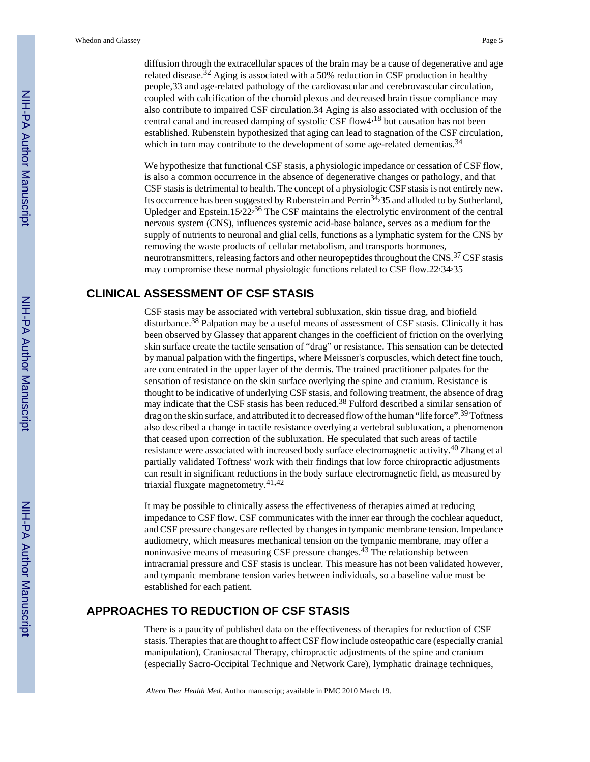diffusion through the extracellular spaces of the brain may be a cause of degenerative and age related disease.<sup>32</sup> Aging is associated with a 50% reduction in CSF production in healthy people,33 and age-related pathology of the cardiovascular and cerebrovascular circulation, coupled with calcification of the choroid plexus and decreased brain tissue compliance may also contribute to impaired CSF circulation.34 Aging is also associated with occlusion of the central canal and increased damping of systolic CSF flow4,<sup>18</sup> but causation has not been established. Rubenstein hypothesized that aging can lead to stagnation of the CSF circulation, which in turn may contribute to the development of some age-related dementias.<sup>34</sup>

We hypothesize that functional CSF stasis, a physiologic impedance or cessation of CSF flow, is also a common occurrence in the absence of degenerative changes or pathology, and that CSF stasis is detrimental to health. The concept of a physiologic CSF stasis is not entirely new. Its occurrence has been suggested by Rubenstein and Perrin<sup>34,</sup>35 and alluded to by Sutherland, Upledger and Epstein.15,22,36 The CSF maintains the electrolytic environment of the central nervous system (CNS), influences systemic acid-base balance, serves as a medium for the supply of nutrients to neuronal and glial cells, functions as a lymphatic system for the CNS by removing the waste products of cellular metabolism, and transports hormones, neurotransmitters, releasing factors and other neuropeptides throughout the CNS.<sup>37</sup> CSF stasis may compromise these normal physiologic functions related to CSF flow.22,34,35

## **CLINICAL ASSESSMENT OF CSF STASIS**

CSF stasis may be associated with vertebral subluxation, skin tissue drag, and biofield disturbance.<sup>38</sup> Palpation may be a useful means of assessment of CSF stasis. Clinically it has been observed by Glassey that apparent changes in the coefficient of friction on the overlying skin surface create the tactile sensation of "drag" or resistance. This sensation can be detected by manual palpation with the fingertips, where Meissner's corpuscles, which detect fine touch, are concentrated in the upper layer of the dermis. The trained practitioner palpates for the sensation of resistance on the skin surface overlying the spine and cranium. Resistance is thought to be indicative of underlying CSF stasis, and following treatment, the absence of drag may indicate that the CSF stasis has been reduced.<sup>38</sup> Fulford described a similar sensation of drag on the skin surface, and attributed it to decreased flow of the human "life force".39 Toftness also described a change in tactile resistance overlying a vertebral subluxation, a phenomenon that ceased upon correction of the subluxation. He speculated that such areas of tactile resistance were associated with increased body surface electromagnetic activity.<sup>40</sup> Zhang et al partially validated Toftness' work with their findings that low force chiropractic adjustments can result in significant reductions in the body surface electromagnetic field, as measured by triaxial fluxgate magnetometry.41,<sup>42</sup>

It may be possible to clinically assess the effectiveness of therapies aimed at reducing impedance to CSF flow. CSF communicates with the inner ear through the cochlear aqueduct, and CSF pressure changes are reflected by changes in tympanic membrane tension. Impedance audiometry, which measures mechanical tension on the tympanic membrane, may offer a noninvasive means of measuring CSF pressure changes.<sup>43</sup> The relationship between intracranial pressure and CSF stasis is unclear. This measure has not been validated however, and tympanic membrane tension varies between individuals, so a baseline value must be established for each patient.

## **APPROACHES TO REDUCTION OF CSF STASIS**

There is a paucity of published data on the effectiveness of therapies for reduction of CSF stasis. Therapies that are thought to affect CSF flow include osteopathic care (especially cranial manipulation), Craniosacral Therapy, chiropractic adjustments of the spine and cranium (especially Sacro-Occipital Technique and Network Care), lymphatic drainage techniques,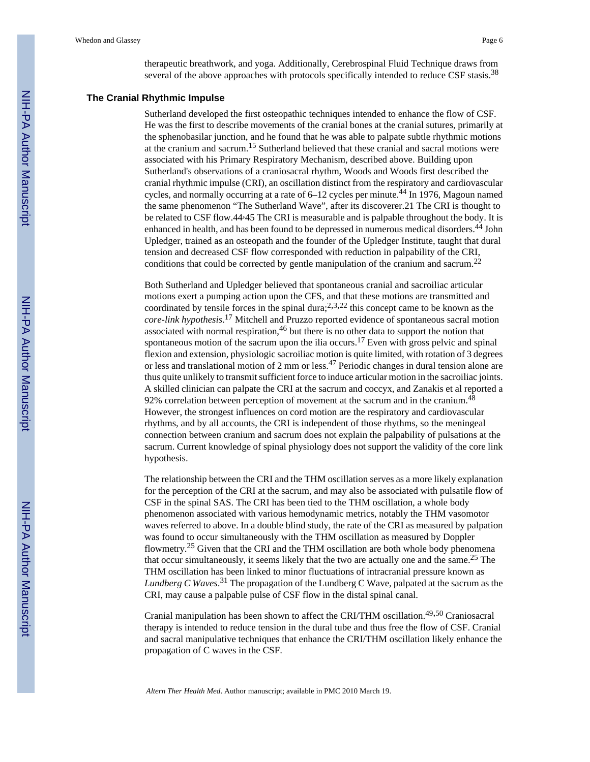therapeutic breathwork, and yoga. Additionally, Cerebrospinal Fluid Technique draws from several of the above approaches with protocols specifically intended to reduce CSF stasis.<sup>38</sup>

#### **The Cranial Rhythmic Impulse**

Sutherland developed the first osteopathic techniques intended to enhance the flow of CSF. He was the first to describe movements of the cranial bones at the cranial sutures, primarily at the sphenobasilar junction, and he found that he was able to palpate subtle rhythmic motions at the cranium and sacrum.15 Sutherland believed that these cranial and sacral motions were associated with his Primary Respiratory Mechanism, described above. Building upon Sutherland's observations of a craniosacral rhythm, Woods and Woods first described the cranial rhythmic impulse (CRI), an oscillation distinct from the respiratory and cardiovascular cycles, and normally occurring at a rate of 6–12 cycles per minute.<sup>44</sup> In 1976, Magoun named the same phenomenon "The Sutherland Wave", after its discoverer.21 The CRI is thought to be related to CSF flow.44<sup>,45</sup> The CRI is measurable and is palpable throughout the body. It is enhanced in health, and has been found to be depressed in numerous medical disorders.44 John Upledger, trained as an osteopath and the founder of the Upledger Institute, taught that dural tension and decreased CSF flow corresponded with reduction in palpability of the CRI, conditions that could be corrected by gentle manipulation of the cranium and sacrum.<sup>22</sup>

Both Sutherland and Upledger believed that spontaneous cranial and sacroiliac articular motions exert a pumping action upon the CFS, and that these motions are transmitted and coordinated by tensile forces in the spinal dura;<sup>2,3,22</sup> this concept came to be known as the *core-link hypothesis*. <sup>17</sup> Mitchell and Pruzzo reported evidence of spontaneous sacral motion associated with normal respiration, $46$  but there is no other data to support the notion that spontaneous motion of the sacrum upon the ilia occurs.<sup>17</sup> Even with gross pelvic and spinal flexion and extension, physiologic sacroiliac motion is quite limited, with rotation of 3 degrees or less and translational motion of 2 mm or less.<sup>47</sup> Periodic changes in dural tension alone are thus quite unlikely to transmit sufficient force to induce articular motion in the sacroiliac joints. A skilled clinician can palpate the CRI at the sacrum and coccyx, and Zanakis et al reported a 92% correlation between perception of movement at the sacrum and in the cranium.<sup>48</sup> However, the strongest influences on cord motion are the respiratory and cardiovascular rhythms, and by all accounts, the CRI is independent of those rhythms, so the meningeal connection between cranium and sacrum does not explain the palpability of pulsations at the sacrum. Current knowledge of spinal physiology does not support the validity of the core link hypothesis.

The relationship between the CRI and the THM oscillation serves as a more likely explanation for the perception of the CRI at the sacrum, and may also be associated with pulsatile flow of CSF in the spinal SAS. The CRI has been tied to the THM oscillation, a whole body phenomenon associated with various hemodynamic metrics, notably the THM vasomotor waves referred to above. In a double blind study, the rate of the CRI as measured by palpation was found to occur simultaneously with the THM oscillation as measured by Doppler flowmetry.25 Given that the CRI and the THM oscillation are both whole body phenomena that occur simultaneously, it seems likely that the two are actually one and the same.<sup>25</sup> The THM oscillation has been linked to minor fluctuations of intracranial pressure known as *Lundberg C Waves*. <sup>31</sup> The propagation of the Lundberg C Wave, palpated at the sacrum as the CRI, may cause a palpable pulse of CSF flow in the distal spinal canal.

Cranial manipulation has been shown to affect the CRI/THM oscillation.49,50 Craniosacral therapy is intended to reduce tension in the dural tube and thus free the flow of CSF. Cranial and sacral manipulative techniques that enhance the CRI/THM oscillation likely enhance the propagation of C waves in the CSF.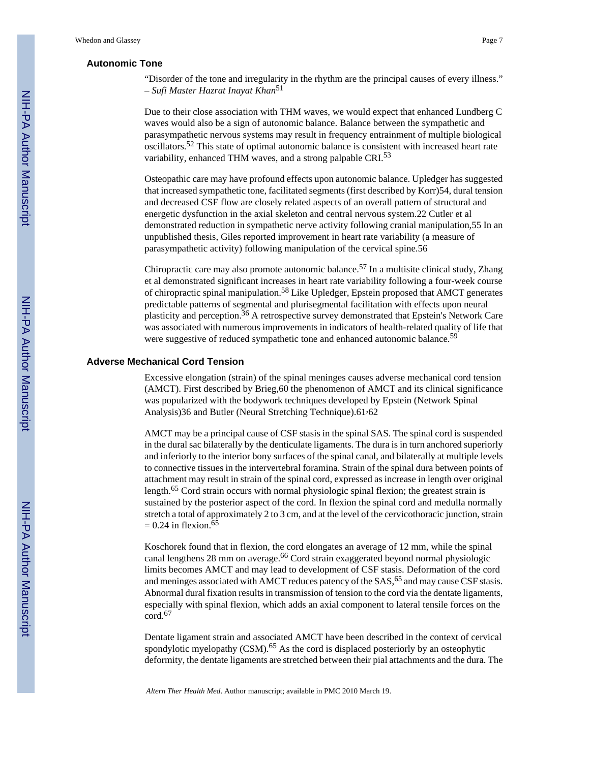#### **Autonomic Tone**

"Disorder of the tone and irregularity in the rhythm are the principal causes of every illness." – *Sufi Master Hazrat Inayat Khan*<sup>51</sup>

Due to their close association with THM waves, we would expect that enhanced Lundberg C waves would also be a sign of autonomic balance. Balance between the sympathetic and parasympathetic nervous systems may result in frequency entrainment of multiple biological oscillators.52 This state of optimal autonomic balance is consistent with increased heart rate variability, enhanced THM waves, and a strong palpable CRI.<sup>53</sup>

Osteopathic care may have profound effects upon autonomic balance. Upledger has suggested that increased sympathetic tone, facilitated segments (first described by Korr)54, dural tension and decreased CSF flow are closely related aspects of an overall pattern of structural and energetic dysfunction in the axial skeleton and central nervous system.22 Cutler et al demonstrated reduction in sympathetic nerve activity following cranial manipulation,55 In an unpublished thesis, Giles reported improvement in heart rate variability (a measure of parasympathetic activity) following manipulation of the cervical spine.56

Chiropractic care may also promote autonomic balance.57 In a multisite clinical study, Zhang et al demonstrated significant increases in heart rate variability following a four-week course of chiropractic spinal manipulation.58 Like Upledger, Epstein proposed that AMCT generates predictable patterns of segmental and plurisegmental facilitation with effects upon neural plasticity and perception.36 A retrospective survey demonstrated that Epstein's Network Care was associated with numerous improvements in indicators of health-related quality of life that were suggestive of reduced sympathetic tone and enhanced autonomic balance.<sup>59</sup>

#### **Adverse Mechanical Cord Tension**

Excessive elongation (strain) of the spinal meninges causes adverse mechanical cord tension (AMCT). First described by Brieg,60 the phenomenon of AMCT and its clinical significance was popularized with the bodywork techniques developed by Epstein (Network Spinal Analysis)36 and Butler (Neural Stretching Technique).61,62

AMCT may be a principal cause of CSF stasis in the spinal SAS. The spinal cord is suspended in the dural sac bilaterally by the denticulate ligaments. The dura is in turn anchored superiorly and inferiorly to the interior bony surfaces of the spinal canal, and bilaterally at multiple levels to connective tissues in the intervertebral foramina. Strain of the spinal dura between points of attachment may result in strain of the spinal cord, expressed as increase in length over original length.65 Cord strain occurs with normal physiologic spinal flexion; the greatest strain is sustained by the posterior aspect of the cord. In flexion the spinal cord and medulla normally stretch a total of approximately 2 to 3 cm, and at the level of the cervicothoracic junction, strain  $= 0.24$  in flexion.<sup>65</sup>

Koschorek found that in flexion, the cord elongates an average of 12 mm, while the spinal canal lengthens 28 mm on average.<sup>66</sup> Cord strain exaggerated beyond normal physiologic limits becomes AMCT and may lead to development of CSF stasis. Deformation of the cord and meninges associated with AMCT reduces patency of the SAS,<sup>65</sup> and may cause CSF stasis. Abnormal dural fixation results in transmission of tension to the cord via the dentate ligaments, especially with spinal flexion, which adds an axial component to lateral tensile forces on the cord.<sup>67</sup>

Dentate ligament strain and associated AMCT have been described in the context of cervical spondylotic myelopathy  $(CSM)$ .<sup>65</sup> As the cord is displaced posteriorly by an osteophytic deformity, the dentate ligaments are stretched between their pial attachments and the dura. The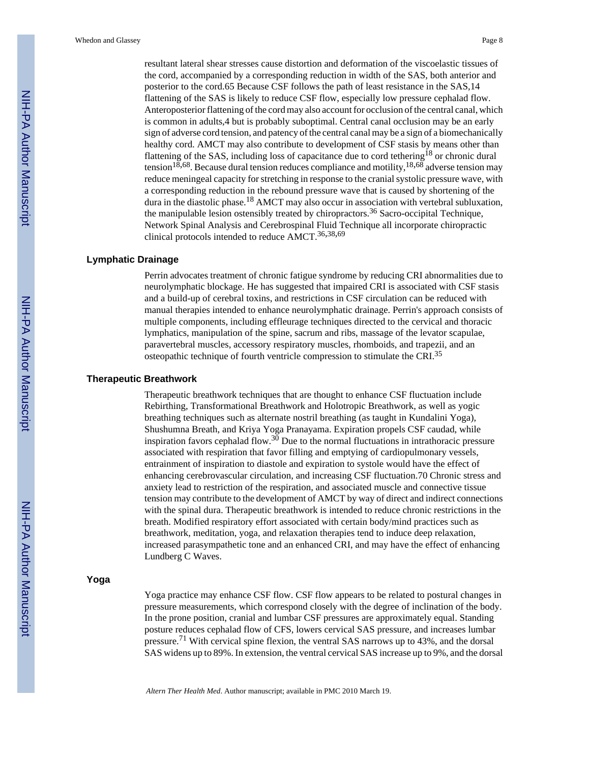resultant lateral shear stresses cause distortion and deformation of the viscoelastic tissues of the cord, accompanied by a corresponding reduction in width of the SAS, both anterior and posterior to the cord.65 Because CSF follows the path of least resistance in the SAS,14 flattening of the SAS is likely to reduce CSF flow, especially low pressure cephalad flow. Anteroposterior flattening of the cord may also account for occlusion of the central canal, which is common in adults,4 but is probably suboptimal. Central canal occlusion may be an early sign of adverse cord tension, and patency of the central canal may be a sign of a biomechanically healthy cord. AMCT may also contribute to development of CSF stasis by means other than flattening of the SAS, including loss of capacitance due to cord tethering<sup>18</sup> or chronic dural tension<sup>18,68</sup>. Because dural tension reduces compliance and motility, <sup>18,68</sup> adverse tension may reduce meningeal capacity for stretching in response to the cranial systolic pressure wave, with a corresponding reduction in the rebound pressure wave that is caused by shortening of the dura in the diastolic phase.<sup>18</sup> AMCT may also occur in association with vertebral subluxation, the manipulable lesion ostensibly treated by chiropractors.36 Sacro-occipital Technique, Network Spinal Analysis and Cerebrospinal Fluid Technique all incorporate chiropractic clinical protocols intended to reduce  $AMCT$ <sup>36,38,69</sup>

#### **Lymphatic Drainage**

Perrin advocates treatment of chronic fatigue syndrome by reducing CRI abnormalities due to neurolymphatic blockage. He has suggested that impaired CRI is associated with CSF stasis and a build-up of cerebral toxins, and restrictions in CSF circulation can be reduced with manual therapies intended to enhance neurolymphatic drainage. Perrin's approach consists of multiple components, including effleurage techniques directed to the cervical and thoracic lymphatics, manipulation of the spine, sacrum and ribs, massage of the levator scapulae, paravertebral muscles, accessory respiratory muscles, rhomboids, and trapezii, and an osteopathic technique of fourth ventricle compression to stimulate the CRI.<sup>35</sup>

#### **Therapeutic Breathwork**

Therapeutic breathwork techniques that are thought to enhance CSF fluctuation include Rebirthing, Transformational Breathwork and Holotropic Breathwork, as well as yogic breathing techniques such as alternate nostril breathing (as taught in Kundalini Yoga), Shushumna Breath, and Kriya Yoga Pranayama. Expiration propels CSF caudad, while inspiration favors cephalad flow.<sup>30</sup> Due to the normal fluctuations in intrathoracic pressure associated with respiration that favor filling and emptying of cardiopulmonary vessels, entrainment of inspiration to diastole and expiration to systole would have the effect of enhancing cerebrovascular circulation, and increasing CSF fluctuation.70 Chronic stress and anxiety lead to restriction of the respiration, and associated muscle and connective tissue tension may contribute to the development of AMCT by way of direct and indirect connections with the spinal dura. Therapeutic breathwork is intended to reduce chronic restrictions in the breath. Modified respiratory effort associated with certain body/mind practices such as breathwork, meditation, yoga, and relaxation therapies tend to induce deep relaxation, increased parasympathetic tone and an enhanced CRI, and may have the effect of enhancing Lundberg C Waves.

#### **Yoga**

Yoga practice may enhance CSF flow. CSF flow appears to be related to postural changes in pressure measurements, which correspond closely with the degree of inclination of the body. In the prone position, cranial and lumbar CSF pressures are approximately equal. Standing posture reduces cephalad flow of CFS, lowers cervical SAS pressure, and increases lumbar pressure.71 With cervical spine flexion, the ventral SAS narrows up to 43%, and the dorsal SAS widens up to 89%. In extension, the ventral cervical SAS increase up to 9%, and the dorsal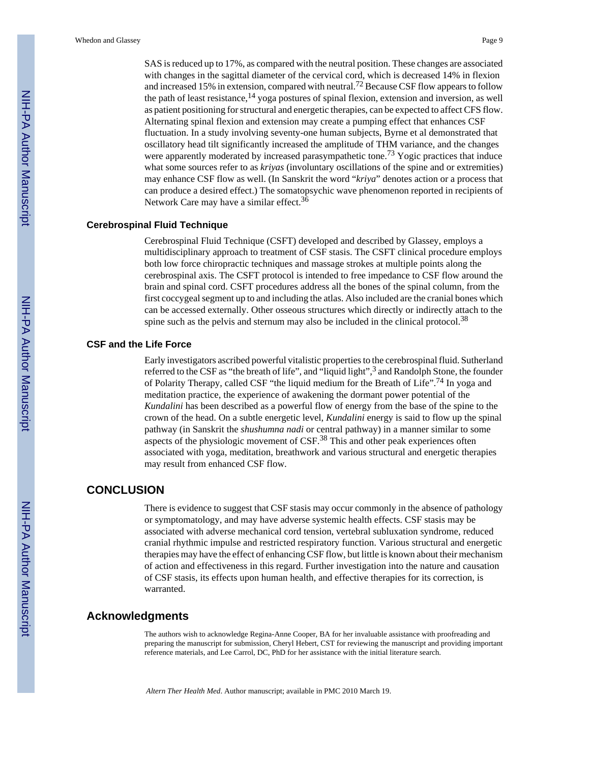SAS is reduced up to 17%, as compared with the neutral position. These changes are associated with changes in the sagittal diameter of the cervical cord, which is decreased 14% in flexion and increased 15% in extension, compared with neutral.72 Because CSF flow appears to follow the path of least resistance,  $^{14}$  yoga postures of spinal flexion, extension and inversion, as well as patient positioning for structural and energetic therapies, can be expected to affect CFS flow. Alternating spinal flexion and extension may create a pumping effect that enhances CSF fluctuation. In a study involving seventy-one human subjects, Byrne et al demonstrated that oscillatory head tilt significantly increased the amplitude of THM variance, and the changes were apparently moderated by increased parasympathetic tone.<sup>73</sup> Yogic practices that induce what some sources refer to as *kriyas* (involuntary oscillations of the spine and or extremities) may enhance CSF flow as well. (In Sanskrit the word "*kriya*" denotes action or a process that can produce a desired effect.) The somatopsychic wave phenomenon reported in recipients of Network Care may have a similar effect.<sup>36</sup>

#### **Cerebrospinal Fluid Technique**

Cerebrospinal Fluid Technique (CSFT) developed and described by Glassey, employs a multidisciplinary approach to treatment of CSF stasis. The CSFT clinical procedure employs both low force chiropractic techniques and massage strokes at multiple points along the cerebrospinal axis. The CSFT protocol is intended to free impedance to CSF flow around the brain and spinal cord. CSFT procedures address all the bones of the spinal column, from the first coccygeal segment up to and including the atlas. Also included are the cranial bones which can be accessed externally. Other osseous structures which directly or indirectly attach to the spine such as the pelvis and sternum may also be included in the clinical protocol.<sup>38</sup>

#### **CSF and the Life Force**

Early investigators ascribed powerful vitalistic properties to the cerebrospinal fluid. Sutherland referred to the CSF as "the breath of life", and "liquid light",<sup>3</sup> and Randolph Stone, the founder of Polarity Therapy, called CSF "the liquid medium for the Breath of Life".74 In yoga and meditation practice, the experience of awakening the dormant power potential of the *Kundalini* has been described as a powerful flow of energy from the base of the spine to the crown of the head. On a subtle energetic level, *Kundalini* energy is said to flow up the spinal pathway (in Sanskrit the *shushumna nadi* or central pathway) in a manner similar to some aspects of the physiologic movement of CSF.38 This and other peak experiences often associated with yoga, meditation, breathwork and various structural and energetic therapies may result from enhanced CSF flow.

### **CONCLUSION**

There is evidence to suggest that CSF stasis may occur commonly in the absence of pathology or symptomatology, and may have adverse systemic health effects. CSF stasis may be associated with adverse mechanical cord tension, vertebral subluxation syndrome, reduced cranial rhythmic impulse and restricted respiratory function. Various structural and energetic therapies may have the effect of enhancing CSF flow, but little is known about their mechanism of action and effectiveness in this regard. Further investigation into the nature and causation of CSF stasis, its effects upon human health, and effective therapies for its correction, is warranted.

## **Acknowledgments**

The authors wish to acknowledge Regina-Anne Cooper, BA for her invaluable assistance with proofreading and preparing the manuscript for submission, Cheryl Hebert, CST for reviewing the manuscript and providing important reference materials, and Lee Carrol, DC, PhD for her assistance with the initial literature search.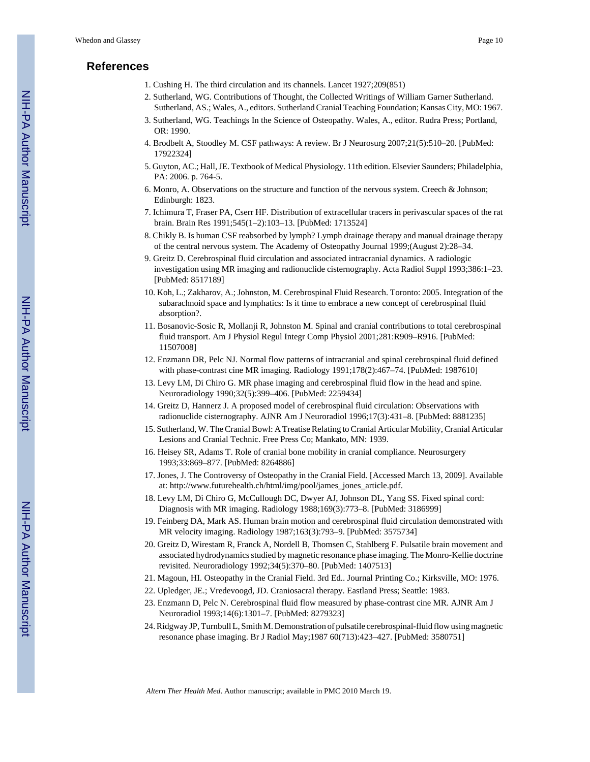## **References**

- 1. Cushing H. The third circulation and its channels. Lancet 1927;209(851)
- 2. Sutherland, WG. Contributions of Thought, the Collected Writings of William Garner Sutherland. Sutherland, AS.; Wales, A., editors. Sutherland Cranial Teaching Foundation; Kansas City, MO: 1967.
- 3. Sutherland, WG. Teachings In the Science of Osteopathy. Wales, A., editor. Rudra Press; Portland, OR: 1990.
- 4. Brodbelt A, Stoodley M. CSF pathways: A review. Br J Neurosurg 2007;21(5):510–20. [PubMed: 17922324]
- 5. Guyton, AC.; Hall, JE. Textbook of Medical Physiology. 11th edition. Elsevier Saunders; Philadelphia, PA: 2006. p. 764-5.
- 6. Monro, A. Observations on the structure and function of the nervous system. Creech & Johnson; Edinburgh: 1823.
- 7. Ichimura T, Fraser PA, Cserr HF. Distribution of extracellular tracers in perivascular spaces of the rat brain. Brain Res 1991;545(1–2):103–13. [PubMed: 1713524]
- 8. Chikly B. Is human CSF reabsorbed by lymph? Lymph drainage therapy and manual drainage therapy of the central nervous system. The Academy of Osteopathy Journal 1999;(August 2):28–34.
- 9. Greitz D. Cerebrospinal fluid circulation and associated intracranial dynamics. A radiologic investigation using MR imaging and radionuclide cisternography. Acta Radiol Suppl 1993;386:1–23. [PubMed: 8517189]
- 10. Koh, L.; Zakharov, A.; Johnston, M. Cerebrospinal Fluid Research. Toronto: 2005. Integration of the subarachnoid space and lymphatics: Is it time to embrace a new concept of cerebrospinal fluid absorption?.
- 11. Bosanovic-Sosic R, Mollanji R, Johnston M. Spinal and cranial contributions to total cerebrospinal fluid transport. Am J Physiol Regul Integr Comp Physiol 2001;281:R909–R916. [PubMed: 11507008]
- 12. Enzmann DR, Pelc NJ. Normal flow patterns of intracranial and spinal cerebrospinal fluid defined with phase-contrast cine MR imaging. Radiology 1991;178(2):467–74. [PubMed: 1987610]
- 13. Levy LM, Di Chiro G. MR phase imaging and cerebrospinal fluid flow in the head and spine. Neuroradiology 1990;32(5):399–406. [PubMed: 2259434]
- 14. Greitz D, Hannerz J. A proposed model of cerebrospinal fluid circulation: Observations with radionuclide cisternography. AJNR Am J Neuroradiol 1996;17(3):431–8. [PubMed: 8881235]
- 15. Sutherland, W. The Cranial Bowl: A Treatise Relating to Cranial Articular Mobility, Cranial Articular Lesions and Cranial Technic. Free Press Co; Mankato, MN: 1939.
- 16. Heisey SR, Adams T. Role of cranial bone mobility in cranial compliance. Neurosurgery 1993;33:869–877. [PubMed: 8264886]
- 17. Jones, J. The Controversy of Osteopathy in the Cranial Field. [Accessed March 13, 2009]. Available at: [http://www.futurehealth.ch/html/img/pool/james\\_jones\\_article.pdf.](http://www.futurehealth.ch/html/img/pool/james_jones_article.pdf)
- 18. Levy LM, Di Chiro G, McCullough DC, Dwyer AJ, Johnson DL, Yang SS. Fixed spinal cord: Diagnosis with MR imaging. Radiology 1988;169(3):773–8. [PubMed: 3186999]
- 19. Feinberg DA, Mark AS. Human brain motion and cerebrospinal fluid circulation demonstrated with MR velocity imaging. Radiology 1987;163(3):793–9. [PubMed: 3575734]
- 20. Greitz D, Wirestam R, Franck A, Nordell B, Thomsen C, Stahlberg F. Pulsatile brain movement and associated hydrodynamics studied by magnetic resonance phase imaging. The Monro-Kellie doctrine revisited. Neuroradiology 1992;34(5):370–80. [PubMed: 1407513]
- 21. Magoun, HI. Osteopathy in the Cranial Field. 3rd Ed.. Journal Printing Co.; Kirksville, MO: 1976.
- 22. Upledger, JE.; Vredevoogd, JD. Craniosacral therapy. Eastland Press; Seattle: 1983.
- 23. Enzmann D, Pelc N. Cerebrospinal fluid flow measured by phase-contrast cine MR. AJNR Am J Neuroradiol 1993;14(6):1301–7. [PubMed: 8279323]
- 24. Ridgway JP, Turnbull L, Smith M. Demonstration of pulsatile cerebrospinal-fluid flow using magnetic resonance phase imaging. Br J Radiol May;1987 60(713):423–427. [PubMed: 3580751]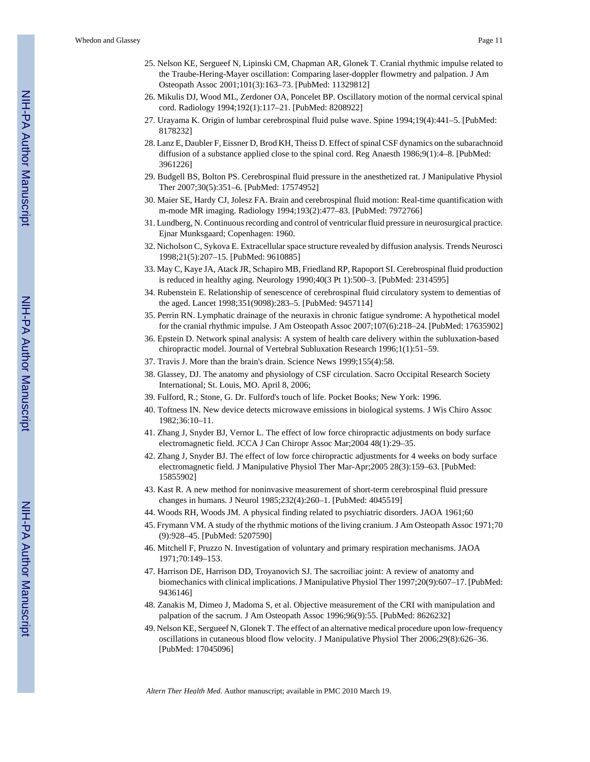- 25. Nelson KE, Sergueef N, Lipinski CM, Chapman AR, Glonek T. Cranial rhythmic impulse related to the Traube-Hering-Mayer oscillation: Comparing laser-doppler flowmetry and palpation. J Am Osteopath Assoc 2001;101(3):163–73. [PubMed: 11329812]
- 26. Mikulis DJ, Wood ML, Zerdoner OA, Poncelet BP. Oscillatory motion of the normal cervical spinal cord. Radiology 1994;192(1):117–21. [PubMed: 8208922]
- 27. Urayama K. Origin of lumbar cerebrospinal fluid pulse wave. Spine 1994;19(4):441–5. [PubMed: 8178232]
- 28. Lanz E, Daubler F, Eissner D, Brod KH, Theiss D. Effect of spinal CSF dynamics on the subarachnoid diffusion of a substance applied close to the spinal cord. Reg Anaesth 1986;9(1):4-8. [PubMed: 3961226]
- 29. Budgell BS, Bolton PS. Cerebrospinal fluid pressure in the anesthetized rat. J Manipulative Physiol Ther 2007;30(5):351–6. [PubMed: 17574952]
- 30. Maier SE, Hardy CJ, Jolesz FA. Brain and cerebrospinal fluid motion: Real-time quantification with m-mode MR imaging. Radiology 1994;193(2):477–83. [PubMed: 7972766]
- 31. Lundberg, N. Continuous recording and control of ventricular fluid pressure in neurosurgical practice. Ejnar Munksgaard; Copenhagen: 1960.
- 32. Nicholson C, Sykova E. Extracellular space structure revealed by diffusion analysis. Trends Neurosci 1998;21(5):207–15. [PubMed: 9610885]
- 33. May C, Kaye JA, Atack JR, Schapiro MB, Friedland RP, Rapoport SI. Cerebrospinal fluid production is reduced in healthy aging. Neurology 1990;40(3 Pt 1):500–3. [PubMed: 2314595]
- 34. Rubenstein E. Relationship of senescence of cerebrospinal fluid circulatory system to dementias of the aged. Lancet 1998;351(9098):283–5. [PubMed: 9457114]
- 35. Perrin RN. Lymphatic drainage of the neuraxis in chronic fatigue syndrome: A hypothetical model for the cranial rhythmic impulse. J Am Osteopath Assoc 2007;107(6):218–24. [PubMed: 17635902]
- 36. Epstein D. Network spinal analysis: A system of health care delivery within the subluxation-based chiropractic model. Journal of Vertebral Subluxation Research 1996;1(1):51–59.
- 37. Travis J. More than the brain's drain. Science News 1999;155(4):58.
- 38. Glassey, DJ. The anatomy and physiology of CSF circulation. Sacro Occipital Research Society International; St. Louis, MO. April 8, 2006;
- 39. Fulford, R.; Stone, G. Dr. Fulford's touch of life. Pocket Books; New York: 1996.
- 40. Toftness IN. New device detects microwave emissions in biological systems. J Wis Chiro Assoc 1982;36:10–11.
- 41. Zhang J, Snyder BJ, Vernor L. The effect of low force chiropractic adjustments on body surface electromagnetic field. JCCA J Can Chiropr Assoc Mar;2004 48(1):29–35.
- 42. Zhang J, Snyder BJ. The effect of low force chiropractic adjustments for 4 weeks on body surface electromagnetic field. J Manipulative Physiol Ther Mar-Apr;2005 28(3):159–63. [PubMed: 15855902]
- 43. Kast R. A new method for noninvasive measurement of short-term cerebrospinal fluid pressure changes in humans. J Neurol 1985;232(4):260–1. [PubMed: 4045519]
- 44. Woods RH, Woods JM. A physical finding related to psychiatric disorders. JAOA 1961;60
- 45. Frymann VM. A study of the rhythmic motions of the living cranium. J Am Osteopath Assoc 1971;70 (9):928–45. [PubMed: 5207590]
- 46. Mitchell F, Pruzzo N. Investigation of voluntary and primary respiration mechanisms. JAOA 1971;70:149–153.
- 47. Harrison DE, Harrison DD, Troyanovich SJ. The sacroiliac joint: A review of anatomy and biomechanics with clinical implications. J Manipulative Physiol Ther 1997;20(9):607–17. [PubMed: 9436146]
- 48. Zanakis M, Dimeo J, Madoma S, et al. Objective measurement of the CRI with manipulation and palpation of the sacrum. J Am Osteopath Assoc 1996;96(9):55. [PubMed: 8626232]
- 49. Nelson KE, Sergueef N, Glonek T. The effect of an alternative medical procedure upon low-frequency oscillations in cutaneous blood flow velocity. J Manipulative Physiol Ther 2006;29(8):626–36. [PubMed: 17045096]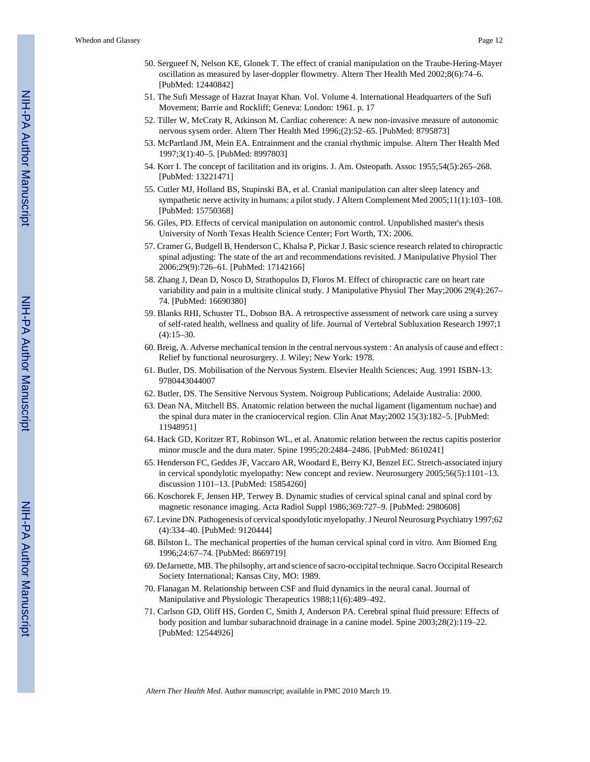- 50. Sergueef N, Nelson KE, Glonek T. The effect of cranial manipulation on the Traube-Hering-Mayer oscillation as measured by laser-doppler flowmetry. Altern Ther Health Med 2002;8(6):74–6. [PubMed: 12440842]
- 51. The Sufi Message of Hazrat Inayat Khan. Vol. Volume 4. International Headquarters of the Sufi Movement; Barrie and Rockliff; Geneva: London: 1961. p. 17
- 52. Tiller W, McCraty R, Atkinson M. Cardiac coherence: A new non-invasive measure of autonomic nervous sysem order. Altern Ther Health Med 1996;(2):52–65. [PubMed: 8795873]
- 53. McPartland JM, Mein EA. Entrainment and the cranial rhythmic impulse. Altern Ther Health Med 1997;3(1):40–5. [PubMed: 8997803]
- 54. Korr I. The concept of facilitation and its origins. J. Am. Osteopath. Assoc 1955;54(5):265–268. [PubMed: 13221471]
- 55. Cutler MJ, Holland BS, Stupinski BA, et al. Cranial manipulation can alter sleep latency and sympathetic nerve activity in humans: a pilot study. J Altern Complement Med 2005;11(1):103–108. [PubMed: 15750368]
- 56. Giles, PD. Effects of cervical manipulation on autonomic control. Unpublished master's thesis University of North Texas Health Science Center; Fort Worth, TX: 2006.
- 57. Cramer G, Budgell B, Henderson C, Khalsa P, Pickar J. Basic science research related to chiropractic spinal adjusting: The state of the art and recommendations revisited. J Manipulative Physiol Ther 2006;29(9):726–61. [PubMed: 17142166]
- 58. Zhang J, Dean D, Nosco D, Strathopulos D, Floros M. Effect of chiropractic care on heart rate variability and pain in a multisite clinical study. J Manipulative Physiol Ther May;2006 29(4):267– 74. [PubMed: 16690380]
- 59. Blanks RHI, Schuster TL, Dobson BA. A retrospective assessment of network care using a survey of self-rated health, wellness and quality of life. Journal of Vertebral Subluxation Research 1997;1  $(4):15-30.$
- 60. Breig, A. Adverse mechanical tension in the central nervous system : An analysis of cause and effect : Relief by functional neurosurgery. J. Wiley; New York: 1978.
- 61. Butler, DS. Mobilisation of the Nervous System. Elsevier Health Sciences; Aug. 1991 ISBN-13: 9780443044007
- 62. Butler, DS. The Sensitive Nervous System. Noigroup Publications; Adelaide Australia: 2000.
- 63. Dean NA, Mitchell BS. Anatomic relation between the nuchal ligament (ligamentum nuchae) and the spinal dura mater in the craniocervical region. Clin Anat May;2002 15(3):182–5. [PubMed: 11948951]
- 64. Hack GD, Koritzer RT, Robinson WL, et al. Anatomic relation between the rectus capitis posterior minor muscle and the dura mater. Spine 1995;20:2484–2486. [PubMed: 8610241]
- 65. Henderson FC, Geddes JF, Vaccaro AR, Woodard E, Berry KJ, Benzel EC. Stretch-associated injury in cervical spondylotic myelopathy: New concept and review. Neurosurgery 2005;56(5):1101–13. discussion 1101–13. [PubMed: 15854260]
- 66. Koschorek F, Jensen HP, Terwey B. Dynamic studies of cervical spinal canal and spinal cord by magnetic resonance imaging. Acta Radiol Suppl 1986;369:727–9. [PubMed: 2980608]
- 67. Levine DN. Pathogenesis of cervical spondylotic myelopathy. J Neurol Neurosurg Psychiatry 1997;62 (4):334–40. [PubMed: 9120444]
- 68. Bilston L. The mechanical properties of the human cervical spinal cord in vitro. Ann Biomed Eng 1996;24:67–74. [PubMed: 8669719]
- 69. DeJarnette, MB. The philsophy, art and science of sacro-occipital technique. Sacro Occipital Research Society International; Kansas City, MO: 1989.
- 70. Flanagan M. Relationship between CSF and fluid dynamics in the neural canal. Journal of Manipulative and Physiologic Therapeutics 1988;11(6):489–492.
- 71. Carlson GD, Oliff HS, Gorden C, Smith J, Anderson PA. Cerebral spinal fluid pressure: Effects of body position and lumbar subarachnoid drainage in a canine model. Spine 2003;28(2):119–22. [PubMed: 12544926]